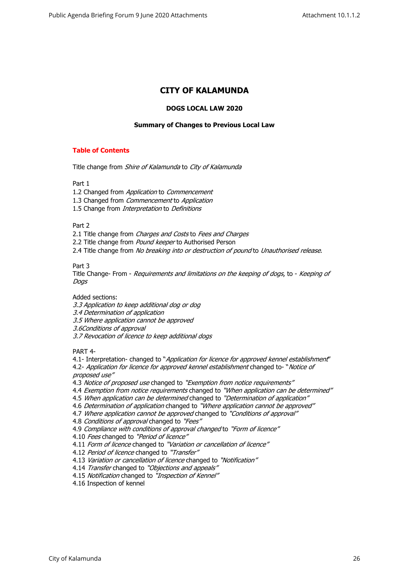# **CITY OF KALAMUNDA**

#### **DOGS LOCAL LAW 2020**

### **Summary of Changes to Previous Local Law**

# **Table of Contents**

Title change from *Shire of Kalamunda* to *City of Kalamunda* 

Part 1

- 1.2 Changed from *Application* to *Commencement*
- 1.3 Changed from *Commencement* to *Application*
- 1.5 Change from *Interpretation* to *Definitions*

Part 2

2.1 Title change from *Charges and Costs* to *Fees and Charges*

2.2 Title change from *Pound keeper* to Authorised Person

2.4 Title change from *No breaking into or destruction of pound* to *Unauthorised release*.

Part 3

Title Change- From - *Requirements and limitations on the keeping of dogs*, to - *Keeping of Dogs* 

Added sections:

*3.3 Application to keep additional dog or dog*

*3.4 Determination of application*

*3.5 Where application cannot be approved*

*3.6Conditions of approval*

*3.7 Revocation of licence to keep additional dogs*

PART 4-

4.1- Interpretation- changed to "*Application for licence for approved kennel establishment*" 4.2- *Application for licence for approved kennel establishment* changed to- "*Notice of* 

*proposed use"*

4.3 *Notice of proposed use* changed to *"Exemption from notice requirements"*

4.4 *Exemption from notice requirements* changed to *"When application can be determined"*

4.5 *When application can be determined* changed to *"Determination of application"*

4.6 *Determination of application* changed to *"Where application cannot be approved"*

4.7 *Where application cannot be approved* changed to *"Conditions of approval"*

4.8 *Conditions of approval* changed to *"Fees"*

4.9 *Compliance with conditions of approval changed* to *"Form of licence"*

4.10 *Fees* changed to *"Period of licence"*

4.11 *Form of licence* changed to *"Variation or cancellation of licence"*

4.12 *Period of licence* changed to *"Transfer"*

4.13 *Variation or cancellation of licence* changed to *"Notification"*

- 4.14 *Transfer* changed to *"Objections and appeals"*
- 4.15 *Notification* changed to *"Inspection of Kennel"*

4.16 Inspection of kennel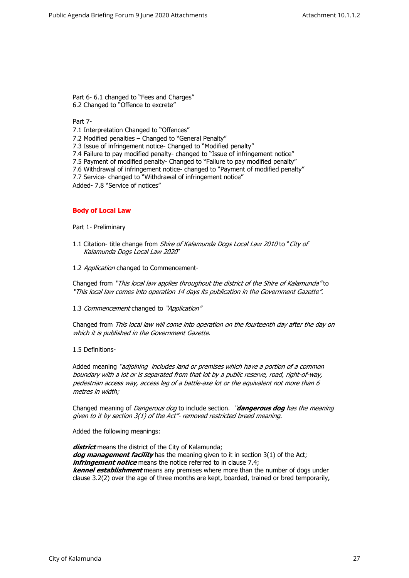Part 6- 6.1 changed to "Fees and Charges" 6.2 Changed to "Offence to excrete"

#### Part 7-

7.1 Interpretation Changed to "Offences"

7.2 Modified penalties – Changed to "General Penalty"

7.3 Issue of infringement notice- Changed to "Modified penalty"

7.4 Failure to pay modified penalty- changed to "Issue of infringement notice"

7.5 Payment of modified penalty- Changed to "Failure to pay modified penalty"

- 7.6 Withdrawal of infringement notice- changed to "Payment of modified penalty"
- 7.7 Service- changed to "Withdrawal of infringement notice"

Added- 7.8 "Service of notices"

#### **Body of Local Law**

Part 1- Preliminary

- 1.1 Citation- title change from *Shire of Kalamunda Dogs Local Law 2010* to "*City of Kalamunda Dogs Local Law 2020*"
- 1.2 *Application* changed to Commencement-

Changed from *"This local law applies throughout the district of the Shire of Kalamunda"* to *"This local law comes into operation 14 days its publication in the Government Gazette".* 

1.3 *Commencement* changed to *"Application"*

Changed from *This local law will come into operation on the fourteenth day after the day on which it is published in the Government Gazette.*

# 1.5 Definitions-

Added meaning *"adjoining includes land or premises which have a portion of a common boundary with a lot or is separated from that lot by a public reserve, road, right-of-way, pedestrian access way, access leg of a battle-axe lot or the equivalent not more than 6 metres in width;*

Changed meaning of *Dangerous dog* to include section. *"dangerous dog has the meaning given to it by section 3(1) of the Act"- removed restricted breed meaning.* 

Added the following meanings:

*district* means the district of the City of Kalamunda; *dog management facility* has the meaning given to it in section 3(1) of the Act; *infringement notice* means the notice referred to in clause 7.4; *kennel establishment* means any premises where more than the number of dogs under clause 3.2(2) over the age of three months are kept, boarded, trained or bred temporarily,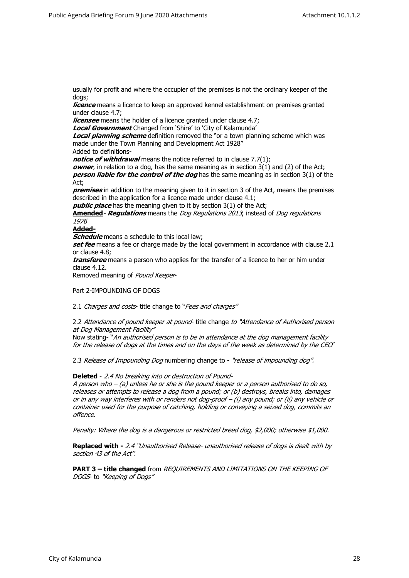usually for profit and where the occupier of the premises is not the ordinary keeper of the dogs;

*licence* means a licence to keep an approved kennel establishment on premises granted under clause 4.7;

*licensee* means the holder of a licence granted under clause 4.7;

*Local Government* Changed from 'Shire' to 'City of Kalamunda'

*Local planning scheme* definition removed the "or a town planning scheme which was made under the Town Planning and Development Act 1928"

Added to definitions-

*notice of withdrawal* means the notice referred to in clause 7.7(1);

*owner*, in relation to a dog, has the same meaning as in section 3(1) and (2) of the Act; *person liable for the control of the dog* has the same meaning as in section 3(1) of the Act;

*premises* in addition to the meaning given to it in section 3 of the Act, means the premises described in the application for a licence made under clause 4.1;

*public place* has the meaning given to it by section 3(1) of the Act;

**Amended***- Regulations* means the *Dog Regulations 2013*; instead of *Dog regulations 1976*

# **Added-**

*Schedule* means a schedule to this local law;

**set fee** means a fee or charge made by the local government in accordance with clause 2.1 or clause 4.8;

*transferee* means a person who applies for the transfer of a licence to her or him under clause 4.12.

Removed meaning of *Pound Keeper*-

#### Part 2-IMPOUNDING OF DOGS

2.1 *Charges and costs*- title change to "*Fees and charges"*

#### 2.2 *Attendance of pound keeper at pound*- title change *to "Attendance of Authorised person at Dog Management Facility"*

Now stating- "*An authorised person is to be in attendance at the dog management facility for the release of dogs at the times and on the days of the week as determined by the CEO*"

2.3 *Release of Impounding Dog* numbering change to - *"release of impounding dog".*

**Deleted** - *2.4 No breaking into or destruction of Pound-*

*A person who – (a) unless he or she is the pound keeper or a person authorised to do so, releases or attempts to release a dog from a pound; or (b) destroys, breaks into, damages or in any way interferes with or renders not dog-proof – (i) any pound; or (ii) any vehicle or container used for the purpose of catching, holding or conveying a seized dog, commits an offence.* 

*Penalty: Where the dog is a dangerous or restricted breed dog, \$2,000; otherwise \$1,000.* 

**Replaced with -** *2.4 "Unauthorised Release- unauthorised release of dogs is dealt with by section 43 of the Act".* 

**PART 3 – title changed** from *REQUIREMENTS AND LIMITATIONS ON THE KEEPING OF DOGS*- to *"Keeping of Dogs"*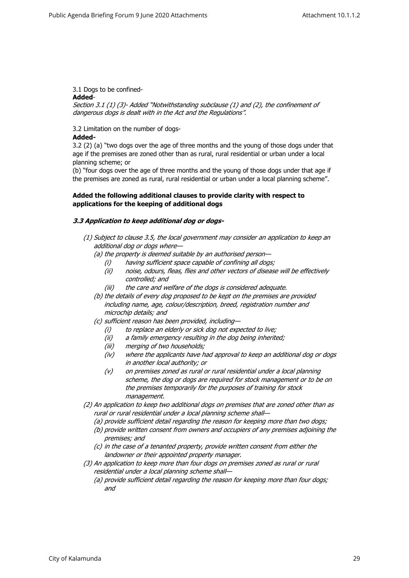# 3.1 Dogs to be confined-

# **Added**-

*Section 3.1 (1) (3)- Added "Notwithstanding subclause (1) and (2), the confinement of dangerous dogs is dealt with in the Act and the Regulations".*

# 3.2 Limitation on the number of dogs-

# **Added-**

3.2 (2) (a) "two dogs over the age of three months and the young of those dogs under that age if the premises are zoned other than as rural, rural residential or urban under a local planning scheme; or

(b) "four dogs over the age of three months and the young of those dogs under that age if the premises are zoned as rural, rural residential or urban under a local planning scheme".

# **Added the following additional clauses to provide clarity with respect to applications for the keeping of additional dogs**

# *3.3 Application to keep additional dog or dogs-*

- *(1) Subject to clause 3.5, the local government may consider an application to keep an additional dog or dogs where—*
	- *(a) the property is deemed suitable by an authorised person—*
		- *(i) having sufficient space capable of confining all dogs;*
		- *(ii) noise, odours, fleas, flies and other vectors of disease will be effectively controlled; and*
		- *(iii) the care and welfare of the dogs is considered adequate.*
	- *(b) the details of every dog proposed to be kept on the premises are provided including name, age, colour/description, breed, registration number and microchip details; and*
	- *(c) sufficient reason has been provided, including—*
		- *(i) to replace an elderly or sick dog not expected to live;*
		- *(ii) a family emergency resulting in the dog being inherited;*
		- *(iii) merging of two households;*
		- *(iv) where the applicants have had approval to keep an additional dog or dogs in another local authority; or*
		- *(v) on premises zoned as rural or rural residential under a local planning scheme, the dog or dogs are required for stock management or to be on the premises temporarily for the purposes of training for stock management.*
- *(2) An application to keep two additional dogs on premises that are zoned other than as rural or rural residential under a local planning scheme shall—*
	- *(a) provide sufficient detail regarding the reason for keeping more than two dogs;*
	- *(b) provide written consent from owners and occupiers of any premises adjoining the premises; and*
	- *(c) in the case of a tenanted property, provide written consent from either the landowner or their appointed property manager.*
- *(3) An application to keep more than four dogs on premises zoned as rural or rural residential under a local planning scheme shall—*
	- *(a) provide sufficient detail regarding the reason for keeping more than four dogs; and*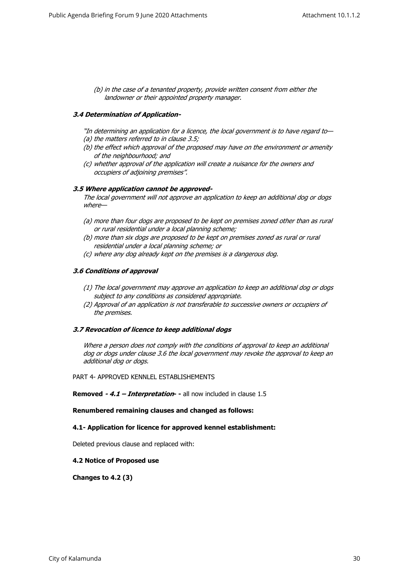*(b) in the case of a tenanted property, provide written consent from either the landowner or their appointed property manager.*

# *3.4 Determination of Application-*

- *"In determining an application for a licence, the local government is to have regard to— (a) the matters referred to in clause 3.5;*
- *(b) the effect which approval of the proposed may have on the environment or amenity of the neighbourhood; and*
- *(c) whether approval of the application will create a nuisance for the owners and occupiers of adjoining premises".*

#### *3.5 Where application cannot be approved-*

*The local government will not approve an application to keep an additional dog or dogs where—*

- *(a) more than four dogs are proposed to be kept on premises zoned other than as rural or rural residential under a local planning scheme;*
- *(b) more than six dogs are proposed to be kept on premises zoned as rural or rural residential under a local planning scheme; or*
- *(c) where any dog already kept on the premises is a dangerous dog.*

# *3.6 Conditions of approval*

- *(1) The local government may approve an application to keep an additional dog or dogs subject to any conditions as considered appropriate.*
- *(2) Approval of an application is not transferable to successive owners or occupiers of the premises.*

#### *3.7 Revocation of licence to keep additional dogs*

*Where a person does not comply with the conditions of approval to keep an additional dog or dogs under clause 3.6 the local government may revoke the approval to keep an additional dog or dogs.*

PART 4- APPROVED KENNLEL ESTABLISHEMENTS

**Removed - 4.1 – Interpretation** - all now included in clause 1.5

### **Renumbered remaining clauses and changed as follows:**

#### **4.1- Application for licence for approved kennel establishment:**

Deleted previous clause and replaced with:

#### **4.2 Notice of Proposed use**

**Changes to 4.2 (3)**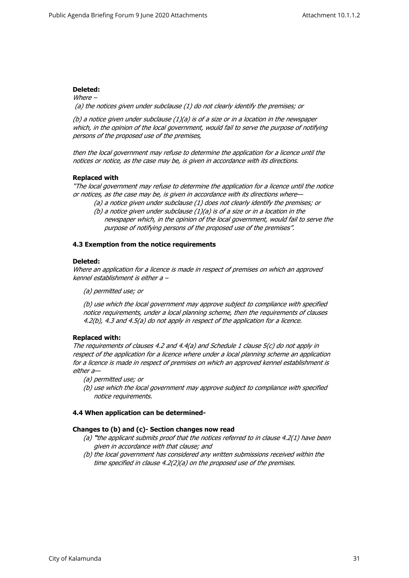# **Deleted:**

*Where – (a) the notices given under subclause (1) do not clearly identify the premises; or* 

*(b) a notice given under subclause (1)(a) is of a size or in a location in the newspaper which, in the opinion of the local government, would fail to serve the purpose of notifying persons of the proposed use of the premises,* 

*then the local government may refuse to determine the application for a licence until the notices or notice, as the case may be, is given in accordance with its directions.* 

# **Replaced with**

*"The local government may refuse to determine the application for a licence until the notice or notices, as the case may be, is given in accordance with its directions where—*

- *(a) a notice given under subclause (1) does not clearly identify the premises; or*
- *(b) a notice given under subclause (1)(a) is of a size or in a location in the newspaper which, in the opinion of the local government, would fail to serve the purpose of notifying persons of the proposed use of the premises".*

# **4.3 Exemption from the notice requirements**

#### **Deleted:**

*Where an application for a licence is made in respect of premises on which an approved kennel establishment is either a –* 

*(a) permitted use; or* 

*(b) use which the local government may approve subject to compliance with specified notice requirements, under a local planning scheme, then the requirements of clauses 4.2(b), 4.3 and 4.5(a) do not apply in respect of the application for a licence.* 

# **Replaced with:**

*The requirements of clauses 4.2 and 4.4(a) and Schedule 1 clause 5(c) do not apply in respect of the application for a licence where under a local planning scheme an application for a licence is made in respect of premises on which an approved kennel establishment is either a—*

- *(a) permitted use; or*
- *(b) use which the local government may approve subject to compliance with specified notice requirements.*

# **4.4 When application can be determined-**

#### **Changes to (b) and (c)- Section changes now read**

- *(a) "the applicant submits proof that the notices referred to in clause 4.2(1) have been given in accordance with that clause; and*
- *(b) the local government has considered any written submissions received within the time specified in clause 4.2(2)(a) on the proposed use of the premises.*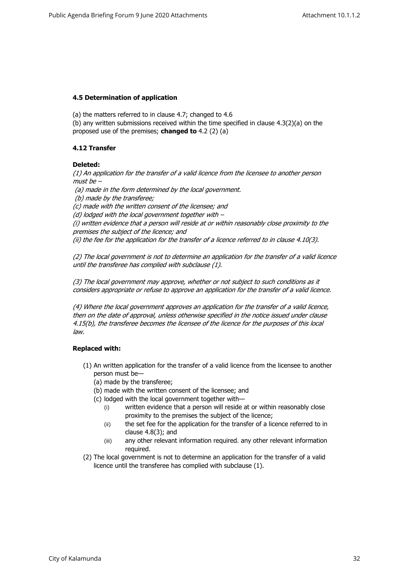# **4.5 Determination of application**

(a) the matters referred to in clause 4.7; changed to 4.6

(b) any written submissions received within the time specified in clause 4.3(2)(a) on the proposed use of the premises; **changed to** 4.2 (2) (a)

# **4.12 Transfer**

# **Deleted:**

*(1) An application for the transfer of a valid licence from the licensee to another person must be –*

 *(a) made in the form determined by the local government.*

 *(b) made by the transferee;* 

*(c) made with the written consent of the licensee; and* 

*(d) lodged with the local government together with –* 

*(i) written evidence that a person will reside at or within reasonably close proximity to the premises the subject of the licence; and*

*(ii) the fee for the application for the transfer of a licence referred to in clause 4.10(3).* 

*(2) The local government is not to determine an application for the transfer of a valid licence until the transferee has complied with subclause (1).* 

*(3) The local government may approve, whether or not subject to such conditions as it considers appropriate or refuse to approve an application for the transfer of a valid licence.* 

*(4) Where the local government approves an application for the transfer of a valid licence, then on the date of approval, unless otherwise specified in the notice issued under clause 4.15(b), the transferee becomes the licensee of the licence for the purposes of this local law.*

# **Replaced with:**

- (1) An written application for the transfer of a valid licence from the licensee to another person must be—
	- (a) made by the transferee;
	- (b) made with the written consent of the licensee; and
	- (c) lodged with the local government together with—
		- (i) written evidence that a person will reside at or within reasonably close proximity to the premises the subject of the licence;
		- (ii) the set fee for the application for the transfer of a licence referred to in clause 4.8(3); and
		- (iii) any other relevant information required. any other relevant information required.
- (2) The local government is not to determine an application for the transfer of a valid licence until the transferee has complied with subclause (1).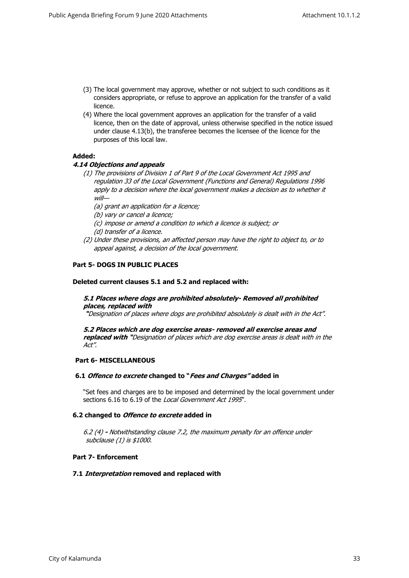- (3) The local government may approve, whether or not subject to such conditions as it considers appropriate, or refuse to approve an application for the transfer of a valid licence.
- (4) Where the local government approves an application for the transfer of a valid licence, then on the date of approval, unless otherwise specified in the notice issued under clause 4.13(b), the transferee becomes the licensee of the licence for the purposes of this local law.

# **Added:**

# *4.14 Objections and appeals*

- *(1) The provisions of Division 1 of Part 9 of the Local Government Act 1995 and regulation 33 of the Local Government (Functions and General) Regulations 1996*  apply to a decision where the local government makes a decision as to whether it *will—*
	- *(a) grant an application for a licence;*
	- *(b) vary or cancel a licence;*
	- *(c) impose or amend a condition to which a licence is subject; or*
	- *(d) transfer of a licence.*
- *(2) Under these provisions, an affected person may have the right to object to, or to appeal against, a decision of the local government.*

# **Part 5- DOGS IN PUBLIC PLACES**

#### **Deleted current clauses 5.1 and 5.2 and replaced with:**

# *5.1 Places where dogs are prohibited absolutely- Removed all prohibited places, replaced with*

 *"Designation of places where dogs are prohibited absolutely is dealt with in the Act".* 

*5.2 Places which are dog exercise areas- removed all exercise areas and replaced with "Designation of places which are dog exercise areas is dealt with in the Act".* 

#### **Part 6- MISCELLANEOUS**

#### **6.1** *Offence to excrete* **changed to "***Fees and Charges"* **added in**

"Set fees and charges are to be imposed and determined by the local government under sections 6.16 to 6.19 of the *Local Government Act 1995*".

#### **6.2 changed to** *Offence to excrete* **added in**

*6.2 (4) - Notwithstanding clause 7.2, the maximum penalty for an offence under subclause (1) is \$1000.*

### **Part 7- Enforcement**

#### **7.1** *Interpretation* **removed and replaced with**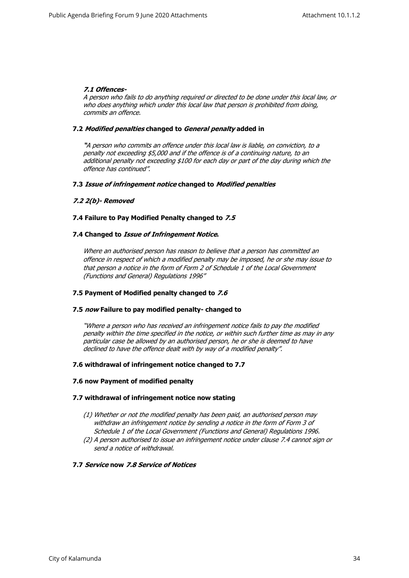# *7.1 Offences-*

*A person who fails to do anything required or directed to be done under this local law, or who does anything which under this local law that person is prohibited from doing, commits an offence.*

# **7.2** *Modified penalties* **changed to** *General penalty* **added in**

*"A person who commits an offence under this local law is liable, on conviction, to a penalty not exceeding \$5,000 and if the offence is of a continuing nature, to an additional penalty not exceeding \$100 for each day or part of the day during which the offence has continued".*

#### **7.3** *Issue of infringement notice* **changed to** *Modified penalties*

# *7.2 2(b)- Removed*

# **7.4 Failure to Pay Modified Penalty changed to** *7.5*

# **7.4 Changed to** *Issue of Infringement Notice***.**

*Where an authorised person has reason to believe that a person has committed an offence in respect of which a modified penalty may be imposed, he or she may issue to that person a notice in the form of Form 2 of Schedule 1 of the Local Government (Functions and General) Regulations 1996"*

### **7.5 Payment of Modified penalty changed to** *7.6*

#### **7.5** *now* **Failure to pay modified penalty- changed to**

*"Where a person who has received an infringement notice fails to pay the modified penalty within the time specified in the notice, or within such further time as may in any particular case be allowed by an authorised person, he or she is deemed to have declined to have the offence dealt with by way of a modified penalty".*

### **7.6 withdrawal of infringement notice changed to 7.7**

#### **7.6 now Payment of modified penalty**

#### **7.7 withdrawal of infringement notice now stating**

- *(1) Whether or not the modified penalty has been paid, an authorised person may withdraw an infringement notice by sending a notice in the form of Form 3 of Schedule 1 of the Local Government (Functions and General) Regulations 1996.*
- *(2) A person authorised to issue an infringement notice under clause 7.4 cannot sign or send a notice of withdrawal.*

#### **7.7** *Service* **now** *7.8 Service of Notices*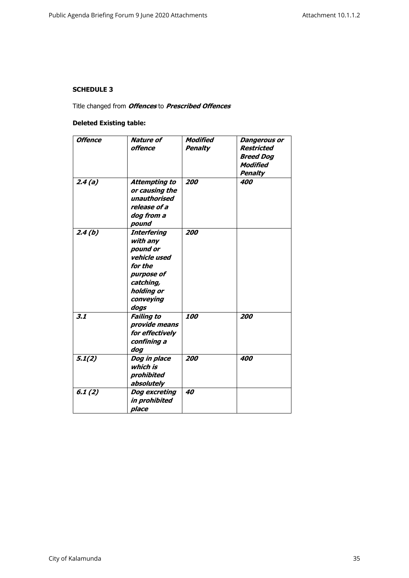# **SCHEDULE 3**

Title changed from *Offences* to *Prescribed Offences*

# **Deleted Existing table:**

| <b>Offence</b> | <b>Nature of</b><br>offence                                                                                                         | Modified<br><b>Penalty</b> | <b>Dangerous or</b><br>Restricted<br><b>Breed Dog</b><br>Modified<br><b>Penalty</b> |
|----------------|-------------------------------------------------------------------------------------------------------------------------------------|----------------------------|-------------------------------------------------------------------------------------|
| 2.4(a)         | <b>Attempting to</b><br>or causing the<br>unauthorised<br>release of a<br>dog from a<br>pound                                       | 200                        | 400                                                                                 |
| 2.4(b)         | <b>Interfering</b><br>with any<br>pound or<br>vehicle used<br>for the<br>purpose of<br>catching,<br>holding or<br>conveying<br>dogs | 200                        |                                                                                     |
| 3.1            | <b>Failing to</b><br>provide means<br>for effectively<br>confining a<br>dog                                                         | 100                        | 200                                                                                 |
| 5.1(2)         | Dog in place<br>which is<br>prohibited<br>absolutely                                                                                | 200                        | 400                                                                                 |
| 6.1(2)         | <b>Dog excreting</b><br>in prohibited<br>place                                                                                      | 40                         |                                                                                     |